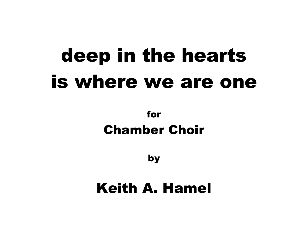# deep in the hearts is where we are one

### for C h amb er C h oir

by

## K eith A. H ame l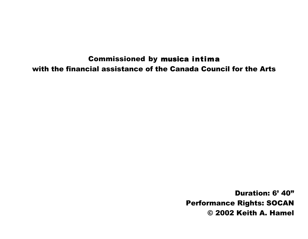Commissioned by musica intima with the financial assistance of the Canada Council for the Arts

> Duration: 6' 40" Performance Rights: SOCAN © 2002 Keith A. Hamel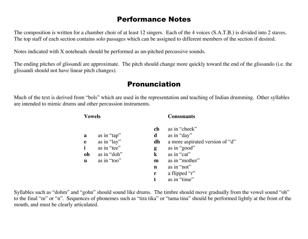#### Performance Notes

The composition is written for a chamber choir of at least 12 singers. Each of the 4 voices (S.A.T.B.) is divided into 2 staves. The top staff of each section contains solo passages which can be assigned to different members of the section if desired.

Notes indicated with X noteheads should be performed as un-pitched percussive sounds.

The ending pitches of glissandi are approximate. The pitch should change more quickly toward the end of the glissando (i.e. the glissandi should not have linear pitch changes).

### Pronunciation

Much of the text is derived from "bols" which are used in the representation and teaching of Indian drumming. Other syllables are intended to mimic drums and other percussion instruments.

| <b>Vowels</b> |             |              | <b>Consonants</b>               |
|---------------|-------------|--------------|---------------------------------|
|               |             | ch           | as in "cheek"                   |
| a             | as in "tap" | d            | as in "day"                     |
| $\mathbf e$   | as in "lay" | dh           | a more aspirated version of "d" |
| $\mathbf{i}$  | as in "tee" | g            | as in "good"                    |
| oh            | as in "doh" | $\bf k$      | as in "cat"                     |
| u             | as in "too" | $\mathbf{m}$ | as in "mother"                  |
|               |             | $\mathbf n$  | as in "not"                     |
|               |             | r            | a flipped "r"                   |
|               |             | t            | as in "time"                    |

Syllables such as "dohm" and "gohn" should sound like drums. The timbre should move gradually from the vowel sound "oh" to the final "m" or "n". Sequences of phonemes such as "tira tika" or "tama tina" should be performed lightly at the front of the mouth, and must be clearly articulated.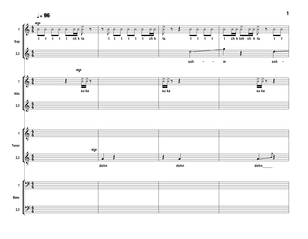**<sup>1</sup>** q = 96

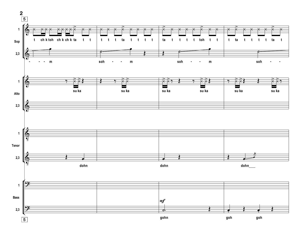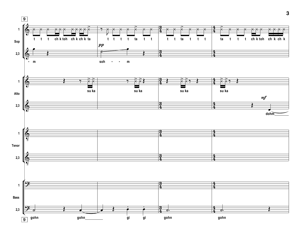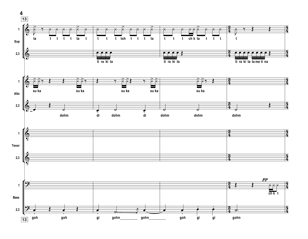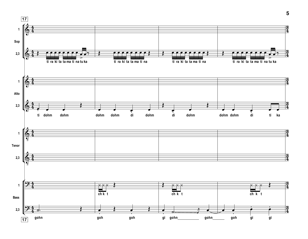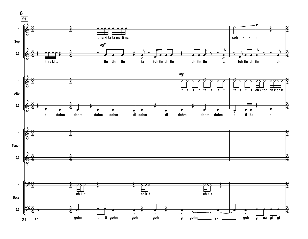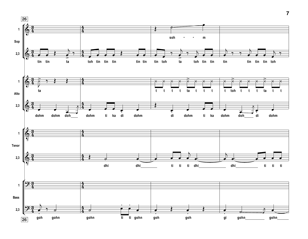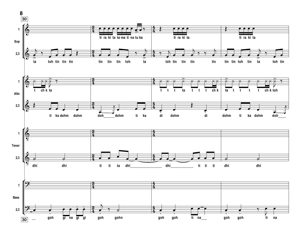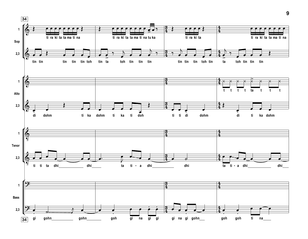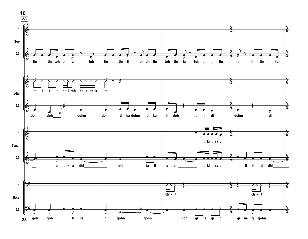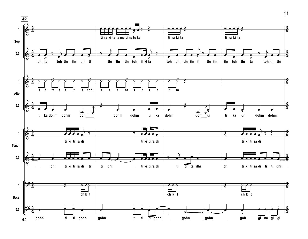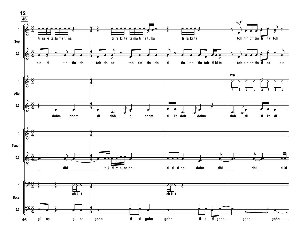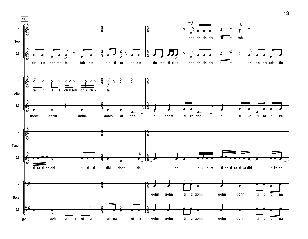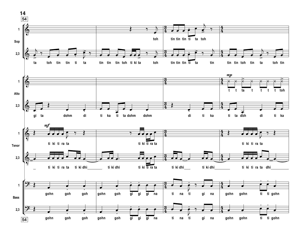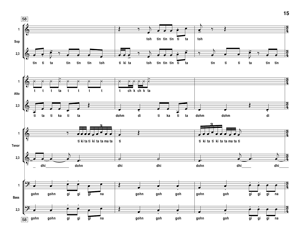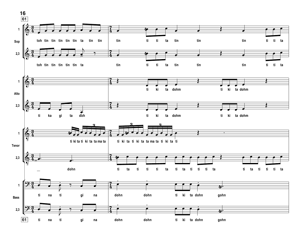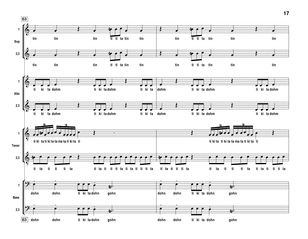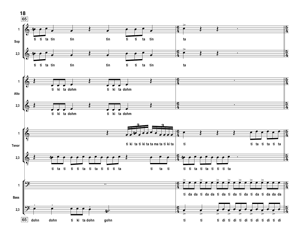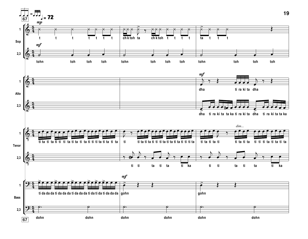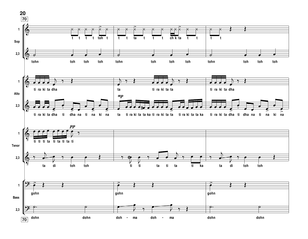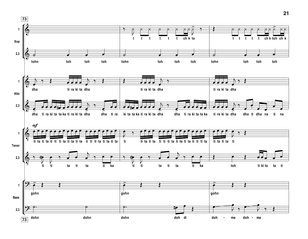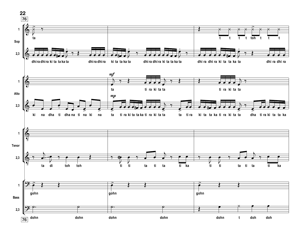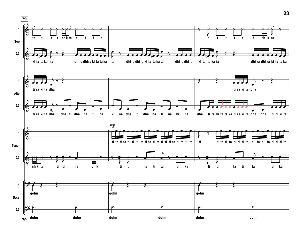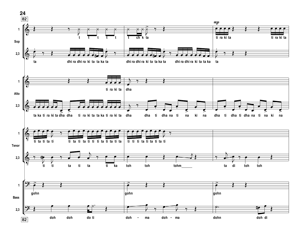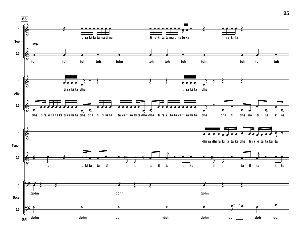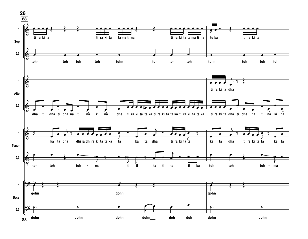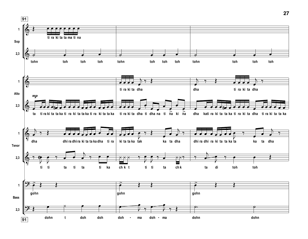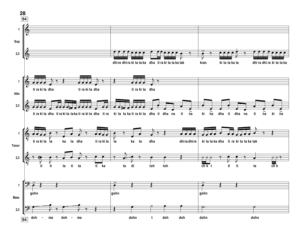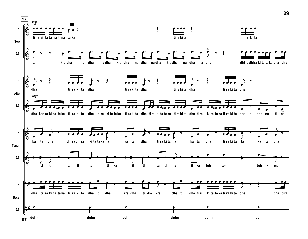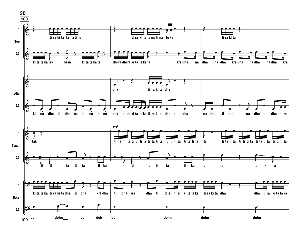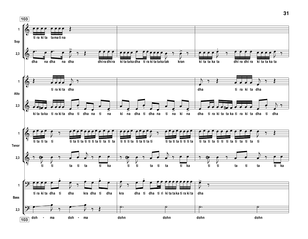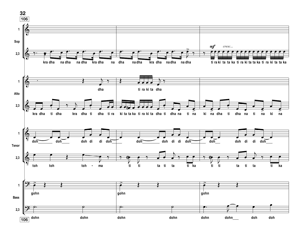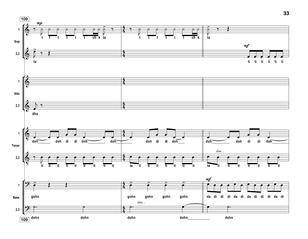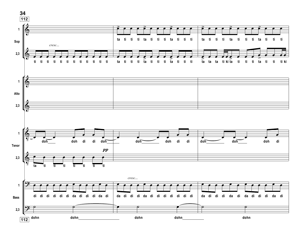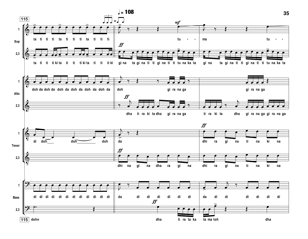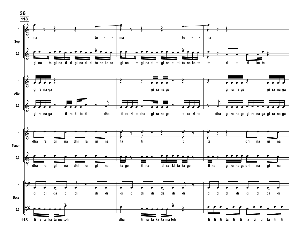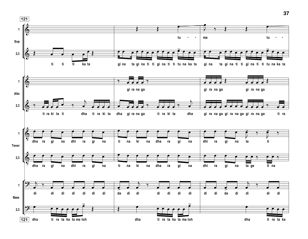